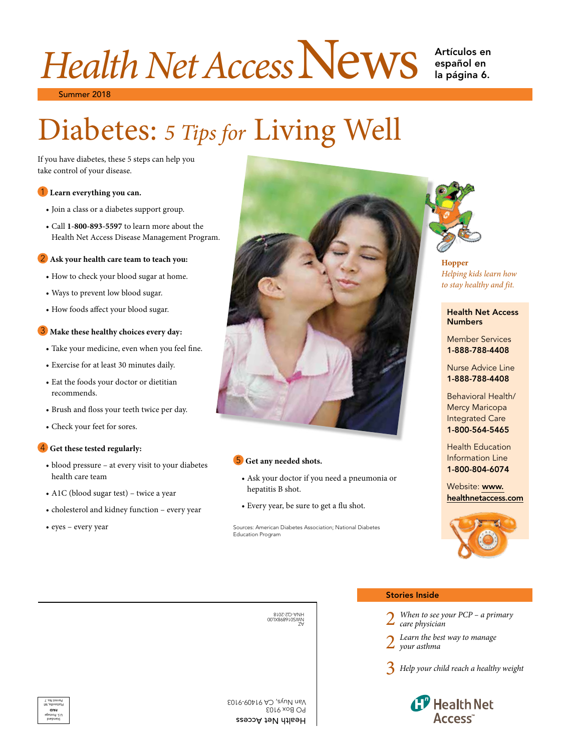# Health Net Access News Artículos en

la página 6. Artículos en<br>español en

Summer 2018 2018

## Diabetes: 5 Tips for Living Well

If you have diabetes, these 5 steps can help you take control of your disease.

#### 1 **Learn everything you can.**

- % te control of your disease.<br>
 Join a class or a diabetes support group.
- Call 1-800-893-5597 to learn more about the Health Net Access Disease Management Program. Management Program.

- 
- Ways to prevent low blood sugar.
- 

- 
- 
- $\ddot{\phantom{0}}$
- 
- Check your feet for sores.

#### 4 **Get these tested regularly:** Health Education **regularly:**

- m • blood pressure – at every visit to your diabetes **5** Get any needed shots. **Information Line I-800-804-6074**
- 
- cholesterol and kidney function every year Every year, be sure to get a flu shot.
- eyes every year



#### 5 Get any needed shots.

- health care team Ask your doctor if you need a pneumonia or • A1C (blood sugar test) – twice a year hepatitis B shot. Website: www. hepatitis B shot.
	- Every year, be sure to get a flu shot.

Sources: American Diabetes Association; National Diabetes Education Program



### *Helping kids learn how* to stay healthy and fit.

#### **Numbers Health Net Access**

**Member Services** 1-888-788-4408

**Nurse Advice Line** 1-888-788-4408

Behavioral Health/ Mercy Maricopa<br>Integrated Care 1-800-564-5465

1-800-804-6074 1-800-804-6074 **Health Education** Information Line

healthnetaccess.com [healthnetaccess.com](https://www.healthnetaccess.com/) Website: www.



Z∀ 007X868910SMN Z∀ 8107-70-ANH



Health Net Access Access PO Box 9103 9103 Van Nuys, CA 91409-9103

#### Stories Inside Inside

- When to see your PCP a primary *care physician care physician*
- 2 *[Learn the best way to manage](#page-1-0)* 
	- *your asthma your asthma*

3 *[Help your child reach a healthy weight](#page-2-0)  healthy weight*

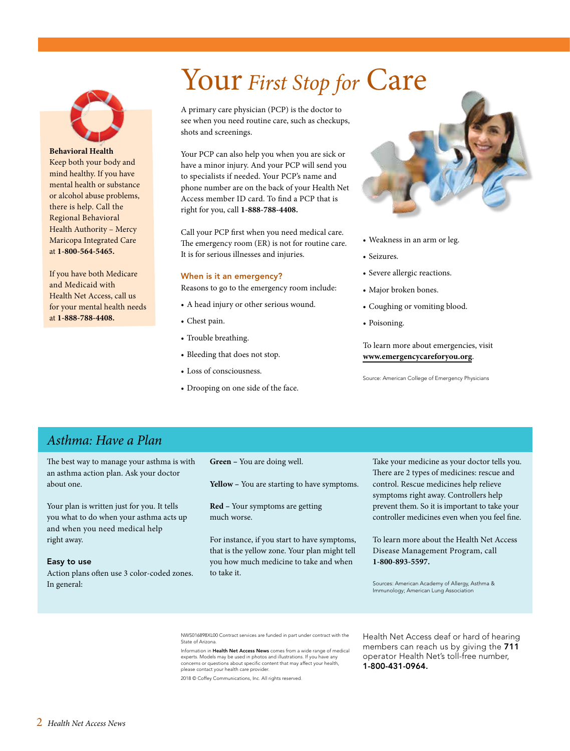## Your *First Stop for* Care

<span id="page-1-0"></span>

**Behavioral Health**  Keep both your body and mind healthy. If you have mental health or substance or alcohol abuse problems, there is help. Call the Regional Behavioral Health Authority – Mercy Maricopa Integrated Care at **1-800-564-5465.** 

If you have both Medicare and Medicaid with Health Net Access, call us for your mental health needs at **1-888-788-4408.** 

A primary care physician (PCP) is the doctor to see when you need routine care, such as checkups, shots and screenings.

Your PCP can also help you when you are sick or have a minor injury. And your PCP will send you to specialists if needed. Your PCP's name and phone number are on the back of your Health Net Access member ID card. To find a PCP that is right for you, call **1-888-788-4408.** 

Call your PCP first when you need medical care. The emergency room (ER) is not for routine care. It is for serious illnesses and injuries.

#### When is it an emergency?

Reasons to go to the emergency room include:

- A head injury or other serious wound.
- Chest pain.
- Trouble breathing.
- Bleeding that does not stop.
- Loss of consciousness.
- Drooping on one side of the face.



- Weakness in an arm or leg.
- Seizures.
- Severe allergic reactions.
- Major broken bones.
- Coughing or vomiting blood.
- Poisoning.

To learn more about emergencies, visit **[www.emergencycareforyou.org](http://www.emergencycareforyou.org/#sm.00001mmw3j9legesjzqfxpsqusbld)**.

Source: American College of Emergency Physicians

#### *Asthma: Have a Plan*

The best way to manage your asthma is with an asthma action plan. Ask your doctor about one.

Your plan is written just for you. It tells you what to do when your asthma acts up and when you need medical help right away.

#### Easy to use

Action plans often use 3 color-coded zones. In general:

 **Green –** You are doing well.

 **Yellow –** You are starting to have symptoms.

**Red –** Your symptoms are getting much worse.

For instance, if you start to have symptoms, that is the yellow zone. Your plan might tell you how much medicine to take and when to take it.

Take your medicine as your doctor tells you. There are 2 types of medicines: rescue and control. Rescue medicines help relieve symptoms right away. Controllers help prevent them. So it is important to take your controller medicines even when you feel fine.

To learn more about the Health Net Access Disease Management Program, call **1-800-893-5597.** 

Sources: American Academy of Allergy, Asthma & Immunology; American Lung Association

NWS016898XL00 Contract services are funded in part under contract with the State of Arizona.

Information in Health Net Access News comes from a wide range of medical experts. Models may be used in photos and illustrations. If you have any concerns or questions about specific content that may affect your health, please contact your health care provider.

2018 © Coffey Communications, Inc. All rights reserved.

Health Net Access deaf or hard of hearing members can reach us by giving the 711 operator Health Net's toll-free number, 1-800-431-0964.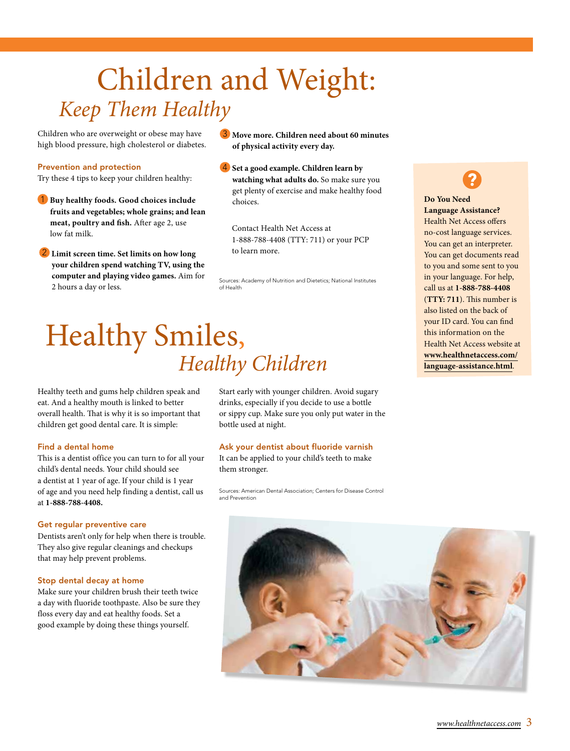## <span id="page-2-0"></span> Children and Weight: *Keep Them Healthy*

Children who are overweight or obese may have high blood pressure, high cholesterol or diabetes.

#### Prevention and protection

Try these 4 tips to keep your children healthy:

1 **Buy healthy foods. Good choices include fruits and vegetables; whole grains; and lean meat, poultry and fish.** After age 2, use low fat milk.

2 **Limit screen time. Set limits on how long your children spend watching TV, using the computer and playing video games.** Aim for 2 hours a day or less.

3 **Move more. Children need about 60 minutes of physical activity every day.** 

4 **Set a good example. Children learn by watching what adults do.** So make sure you get plenty of exercise and make healthy food choices.

Contact Health Net Access at 1-888-788-4408 (TTY: 711) or your PCP to learn more.

Sources: Academy of Nutrition and Dietetics; National Institutes of Health

### Healthy Smiles, *Healthy Children*

Healthy teeth and gums help children speak and eat. And a healthy mouth is linked to better overall health. That is why it is so important that children get good dental care. It is simple:

#### Find a dental home

 This is a dentist office you can turn to for all your child's dental needs. Your child should see a dentist at 1 year of age. If your child is 1 year of age and you need help finding a dentist, call us at **1-888-788-4408.** 

#### Get regular preventive care

 Dentists aren't only for help when there is trouble. They also give regular cleanings and checkups that may help prevent problems.

#### Stop dental decay at home

 Make sure your children brush their teeth twice a day with fluoride toothpaste. Also be sure they floss every day and eat healthy foods. Set a good example by doing these things yourself.

 drinks, especially if you decide to use a bottle or sippy cup. Make sure you only put water in the Start early with younger children. Avoid sugary bottle used at night.

#### Ask your dentist about fluoride varnish

 It can be applied to your child's teeth to make them stronger.

Sources: American Dental Association; Centers for Disease Control and Prevention



**Do You Need Language Assistance?**  Health Net Access offers no-cost language services. You can get an interpreter. You can get documents read to you and some sent to you in your language. For help, call us at **1-888-788-4408**  (**TTY: 711**). This number is also listed on the back of your ID card. You can find this information on the Health Net Access website at **[www.healthnetaccess.com/](https://www.healthnetaccess.com/language-assistance.html) [language-assistance.html](https://www.healthnetaccess.com/language-assistance.html)**.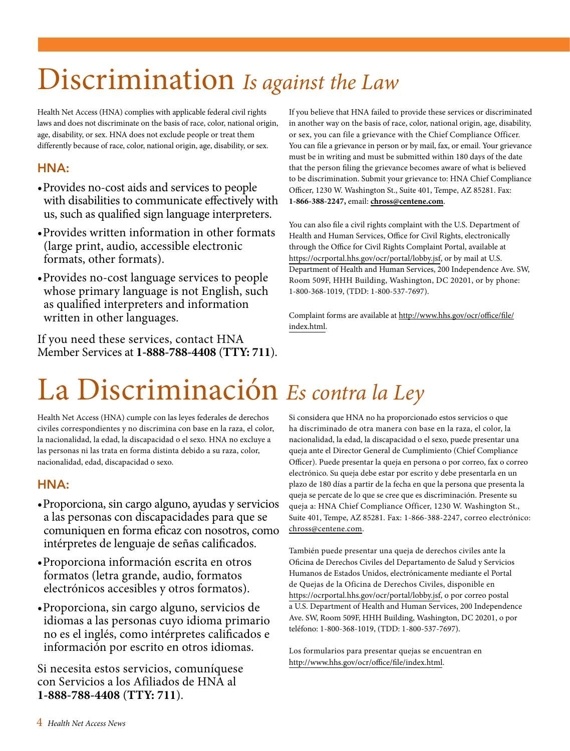## Discrimination *Is against the Law*

 Health Net Access (HNA) complies with applicable federal civil rights laws and does not discriminate on the basis of race, color, national origin, age, disability, or sex. HNA does not exclude people or treat them differently because of race, color, national origin, age, disability, or sex.

### HNA:

- •Provides no-cost aids and services to people with disabilities to communicate effectively with us, such as qualified sign language interpreters.
- •Provides written information in other formats (large print, audio, accessible electronic formats, other formats).
- •Provides no-cost language services to people whose primary language is not English, such as qualified interpreters and information written in other languages.

If you need these services, contact HNA Member Services at **1-888-788-4408** (**TTY: 711**). If you believe that HNA failed to provide these services or discriminated in another way on the basis of race, color, national origin, age, disability, or sex, you can file a grievance with the Chief Compliance Officer. You can file a grievance in person or by mail, fax, or email. Your grievance must be in writing and must be submitted within 180 days of the date that the person filing the grievance becomes aware of what is believed to be discrimination. Submit your grievance to: HNA Chief Compliance Officer, 1230 W. Washington St., Suite 401, Tempe, AZ 85281. Fax: **1-866-388-2247,** email: **[chross@centene.com](mailto:chross@centene.com)**.

You can also file a civil rights complaint with the U.S. Department of Health and Human Services, Office for Civil Rights, electronically through the Office for Civil Rights Complaint Portal, available at <https://ocrportal.hhs.gov/ocr/portal/lobby.jsf>, or by mail at U.S. Department of Health and Human Services, 200 Independence Ave. SW, Room 509F, HHH Building, Washington, DC 20201, or by phone: 1-800-368-1019, (TDD: 1-800-537-7697).

Complaint forms are available at [http://www.hhs.gov/ocr/office/file/](https://www.hhs.gov/ocr/complaints/index.html) [index.html.](https://www.hhs.gov/ocr/complaints/index.html)

## La Discriminación *Es contra la Ley*

Health Net Access (HNA) cumple con las leyes federales de derechos civiles correspondientes y no discrimina con base en la raza, el color, la nacionalidad, la edad, la discapacidad o el sexo. HNA no excluye a las personas ni las trata en forma distinta debido a su raza, color, nacionalidad, edad, discapacidad o sexo.

### HNA:

- •Proporciona, sin cargo alguno, ayudas y servicios a las personas con discapacidades para que se comuniquen en forma eficaz con nosotros, como intérpretes de lenguaje de señas calificados.
- •Proporciona información escrita en otros formatos (letra grande, audio, formatos electrónicos accesibles y otros formatos).
- •Proporciona, sin cargo alguno, servicios de idiomas a las personas cuyo idioma primario no es el inglés, como intérpretes calificados e información por escrito en otros idiomas.

 con Servicios a los Afiliados de HNA al Si necesita estos servicios, comuníquese **1-888-788-4408** (**TTY: 711**).

queja ante el Director General de Cumplimiento (Chief Compliance Officer). Puede presentar la queja en persona o por correo, fax o correo Suite 401, Tempe, AZ 85281. Fax: 1-866-388-2247, correo electrónico: Si considera que HNA no ha proporcionado estos servicios o que ha discriminado de otra manera con base en la raza, el color, la nacionalidad, la edad, la discapacidad o el sexo, puede presentar una queja ante el Director General de Cumplimiento (Chief Compliance<br>Officer). Puede presentar la queja en persona o por correo, fax o corr<br>electrónico. Su queja debe estar por escrito y debe presentarla en un plazo de 180 días a partir de la fecha en que la persona que presenta la queja se percate de lo que se cree que es discriminación. Presente su queja a: HNA Chief Compliance Officer, 1230 W. Washington St., [chross@centene.com](mailto:chross@centene.com).

También puede presentar una queja de derechos civiles ante la Oficina de Derechos Civiles del Departamento de Salud y Servicios Humanos de Estados Unidos, electrónicamente mediante el Portal de Quejas de la Oficina de Derechos Civiles, disponible en <https://ocrportal.hhs.gov/ocr/portal/lobby.jsf>, o por correo postal a U.S. Department of Health and Human Services, 200 Independence Ave. SW, Room 509F, HHH Building, Washington, DC 20201, o por teléfono: 1-800-368-1019, (TDD: 1-800-537-7697).

 Los formularios para presentar quejas se encuentran en <http://www.hhs.gov/ocr/office/file/index.html>.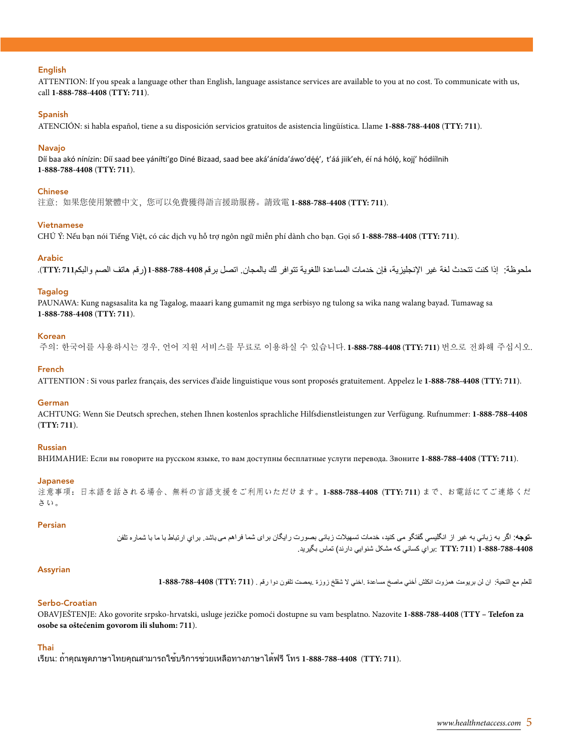#### English

ATTENTION: If you speak a language other than English, language assistance services are available to you at no cost. To communicate with us, call **1-888-788-4408** (**TTY: 711**).

#### Spanish

ATENCIÓN: si habla español, tiene a su disposición servicios gratuitos de asistencia lingüística. Llame **1-888-788-4408** (**TTY: 711**).

#### Navajo

Díí baa akó nínízin: Díí saad bee yáníłti'go Diné Bizaad, saad bee aká'ánída'áwo'dę́ę', t'áá jiik'eh, éí ná hólǫ́, kojį' hódíílnih **1-888-788-4408** (**TTY: 711**).

#### Chinese

注意:如果您使用繁體中文,您可以免費獲得語言援助服務。請致電 **1-888-788-4408** (**TTY: 711**).

#### Vietnamese

CHÚ Ý: Nếu bạn nói Tiếng Việt, có các dịch vụ hỗ trợ ngôn ngữ miễn phí dành cho bạn. Gọi số **1-888-788-4408** (**TTY: 711**).

#### Arabic

ملحوظة: إذا كنت تتحدث لغة غير الإنجليزية، فإن خدمات المساعدة اللغوية تتوافر لك بالمجان<sub>.</sub> اتصل برقم 1408-788-888-7 (رقم هاتف الصم والبكم711).TTY: 71).

#### Tagalog

PAUNAWA: Kung nagsasalita ka ng Tagalog, maaari kang gumamit ng mga serbisyo ng tulong sa wika nang walang bayad. Tumawag sa **1-888-788-4408** (**TTY: 711**).

#### Korean

주의: 한국어를 사용하시는 경우, 언어 지원 서비스를 무료로 이용하실 수 있습니다 . **1-888-788-4408** (**TTY: 711**) 번으로 전화해 주십시오 .

#### French

ATTENTION : Si vous parlez français, des services d'aide linguistique vous sont proposés gratuitement. Appelez le **1-888-788-4408** (**TTY: 711**).

#### German

ACHTUNG: Wenn Sie Deutsch sprechen, stehen Ihnen kostenlos sprachliche Hilfsdienstleistungen zur Verfügung. Rufnummer: **1-888-788-4408**  (**TTY: 711**).

#### Russian

ВНИМАНИЕ: Если вы говорите на русском языке, то вам доступны бесплатные услуги перевода. Звоните **1-888-788-4408** (**TTY: 711**).

#### Japanese

注意事項:日本語を話される場合、無料の言語支援をご利用いただけます。**1-888-788-4408** (**TTY: 711**) まで、お電話にてご連絡くだ さい。

#### Persian

**-توج**ه: اگر به زباني به غير از انگليسي گفتگو مي كنيد، خدمات تسهيلات زباني بصورت رايگان براي شما فراهم مي باشد. براي ارتباط با ما با شماره تلفن 1-888-788-4408 ( TTY: 711 :براي كساني كه مشكل شنوايي دارند) تماس بگيريد.

#### Assyrian

للعلم مع التحية: ان لن بريومت همزوت انكلش أخنى ماصخ مساعدة .اخنى لا شقلخ زوزة .يمصت تلفون دوا رقم . (TTY: 711) 388-788-4408-

#### Serbo-Croatian

OBAVJEŠTENJE: Ako govorite srpsko-hrvatski, usluge jezičke pomoći dostupne su vam besplatno. Nazovite **1-888-788-4408** (**TTY – Telefon za osobe sa oštećenim govorom ili sluhom: 711**).

#### Thai

เรียน: ถ้าคุณพูดภาษาไทยคุณสามารถใช้บริการช่วยเหลือทางภาษาได้ฟรี โทร **1-888-788-4408** (**TTY: 711**).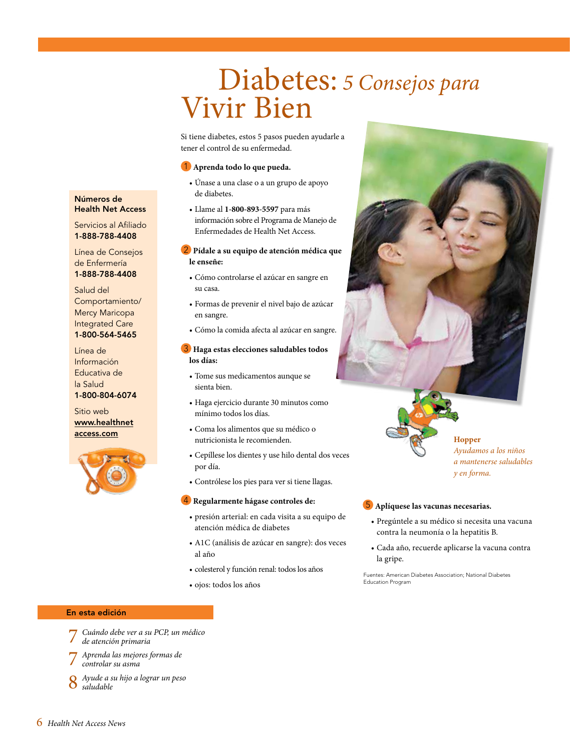### Diabetes: *5 Consejos para*  Vivir Bien

 Si tiene diabetes, estos 5 pasos pueden ayudarle a tener el control de su enfermedad.

#### 1 **Aprenda todo lo que pueda.**

- Únase a una clase o a un grupo de apoyo de diabetes.
- Llame al **1-800-893-5597** para más información sobre el Programa de Manejo de Enfermedades de Health Net Access.

#### 2 **Pídale a su equipo de atención médica que le enseñe:**

- Cómo controlarse el azúcar en sangre en su casa.
- Formas de prevenir el nivel bajo de azúcar en sangre.
- Cómo la comida afecta al azúcar en sangre.

#### 3 **Haga estas elecciones saludables todos los días:**

- · Tome sus medicamentos aunque se
- · Haga ejercicio durante 30 minutos como • Tome sus medicamentos aunque se<br>• Haga ejercicio durante 30 minutos como<br>mínimo todos los días.<br>• Coma los alimentos que su médico o<br>nutricionista le recomienden.<br>• Cepíllese los dientes y use hilo dental dos veces
- · Coma los alimentos que su médico o nutricionista le recomienden.
- por día.
- Contrólese los pies para ver si tiene llagas.

#### 4 **Regularmente hágase controles de:**

- presión arterial: en cada visita a su equipo de atención médica de diabetes
- A1C (análisis de azúcar en sangre): dos veces al año • Cepillese los dientes y use hilo dental dos veces<br>
• contrólese los pies para ver si tiene llagas.<br>
• Contrólese los pies para ver si tiene llagas.<br>
• Regularmente hágase controles de:<br>
• Presión arterial: en cada visit
- · colesterol y función renal: todos los años
- · ojos: todos los años

#### 5 **Aplíquese las vacunas necesarias.**

• Pregúntele a su médico si necesita una vacuna contra la neumonía o la hepatitis B.

*y en forma.* 

• Cada año, recuerde aplicarse la vacuna contra la gripe.

Fuentes: American Diabetes Association; National Diabetes Education Program

#### En esta edición

- 7 *[Cuándo debe ver a su PCP, un médico](#page-6-0)*
- *de atención primaria*
- 7 *[Aprenda las mejores formas de](#page-6-0)  controlar su asma*
- 8 *[Ayude a su hijo a lograr un peso](#page-7-0)  saludable*

#### Números de Health Net Access

Servicios al Afiliado 1-888-788-4408

Línea de Consejos de Enfermería 1-888-788-4408

Salud del Comportamiento/ Mercy Maricopa Integrated Care 1-800-564-5465

Línea de Información Educativa de la Salud 1-800-804-6074

Sitio web [www.healthnet](https://www.healthnetaccess.com/)  [access.com](https://www.healthnetaccess.com/) 



 *Ayudamos a los niños a mantenerse saludables* 

6 *Health Net Access News*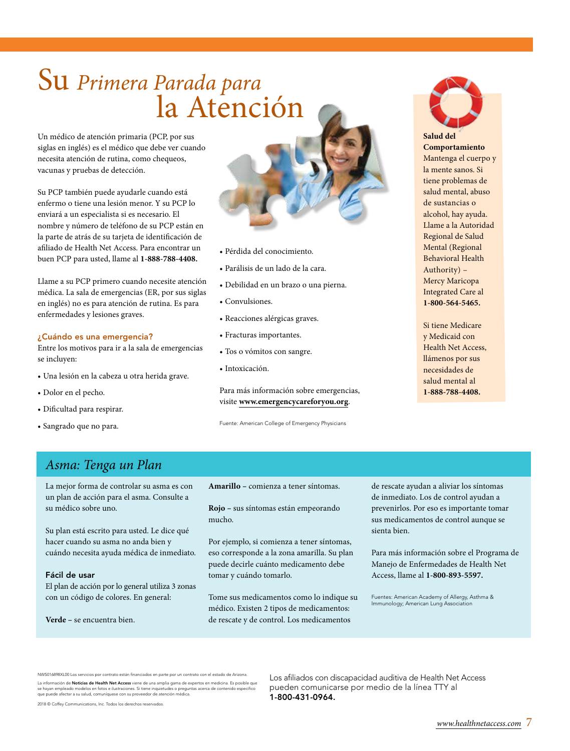### <span id="page-6-0"></span> Su *Primera Parada para* la Atención

Un médico de atención primaria (PCP, por sus siglas en inglés) es el médico que debe ver cuando necesita atención de rutina, como chequeos, vacunas y pruebas de detección.

Su PCP también puede ayudarle cuando está enfermo o tiene una lesión menor. Y su PCP lo enviará a un especialista si es necesario. El nombre y número de teléfono de su PCP están en la parte de atrás de su tarjeta de identificación de afiliado de Health Net Access. Para encontrar un buen PCP para usted, llame al **1-888-788-4408.** 

Llame a su PCP primero cuando necesite atención médica. La sala de emergencias (ER, por sus siglas en inglés) no es para atención de rutina. Es para enfermedades y lesiones graves.

#### ¿Cuándo es una emergencia?

Entre los motivos para ir a la sala de emergencias se incluyen:

- Una lesión en la cabeza u otra herida grave.
- Dolor en el pecho.
- Dificultad para respirar.
- Sangrado que no para.



- Pérdida del conocimiento.
- Parálisis de un lado de la cara.
- Debilidad en un brazo o una pierna.
- Convulsiones.
- Reacciones alérgicas graves.
- Fracturas importantes.
- Tos o vómitos con sangre.
- Intoxicación.

Para más información sobre emergencias, visite **[www.emergencycareforyou.org](http://www.emergencycareforyou.org/#sm.00001mmw3j9legesjzqfxpsqusbld)**.

Fuente: American College of Emergency Physicians



**Salud del Comportamiento**  Mantenga el cuerpo y la mente sanos. Si tiene problemas de salud mental, abuso de sustancias o alcohol, hay ayuda. Llame a la Autoridad Regional de Salud Mental (Regional Behavioral Health Authority) – Mercy Maricopa Integrated Care al **1-800-564-5465.** 

Si tiene Medicare y Medicaid con Health Net Access, llámenos por sus necesidades de salud mental al **1-888-788-4408.** 

### *Asma: Tenga un Plan*

La mejor forma de controlar su asma es con un plan de acción para el asma. Consulte a su médico sobre uno.

Su plan está escrito para usted. Le dice qué hacer cuando su asma no anda bien y cuándo necesita ayuda médica de inmediato.

#### Fácil de usar

El plan de acción por lo general utiliza 3 zonas con un código de colores. En general:

**Verde –** se encuentra bien.

2018 © Coffey Communications, Inc. Todos los derechos reservados.

**Amarillo –** comienza a tener síntomas.

**Rojo –** sus síntomas están empeorando mucho.

Por ejemplo, si comienza a tener síntomas, eso corresponde a la zona amarilla. Su plan puede decirle cuánto medicamento debe tomar y cuándo tomarlo.

Tome sus medicamentos como lo indique su médico. Existen 2 tipos de medicamentos: de rescate y de control. Los medicamentos

de rescate ayudan a aliviar los síntomas de inmediato. Los de control ayudan a prevenirlos. Por eso es importante tomar sus medicamentos de control aunque se sienta bien.

Para más información sobre el Programa de Manejo de Enfermedades de Health Net Access, llame al **1-800-893-5597.** 

Fuentes: American Academy of Allergy, Asthma & Immunology; American Lung Association

NWSU16898XLUU Los servicios por contrato estan financiados en parte por un contrato con el estado de Arizona.<br>La información de **Noticias de Health Net Access** viene de una amplia gama de expertos en medicina. Es posible q NWS016898XL00 Los servicios por contrato están financiados en parte por un contrato con el estado de Arizona. La información de Noticias de Health Net Access viene de una amplia gama de expertos en medicina. Es posible que<br>se hayan empleado modelos en fotos e ilustraciones. Si tiene inquietudes o preguntas acerca de contenido espe que puede afectar a su salud, comuníquese con su proveedor de atención médica. 11-800-431-0964.